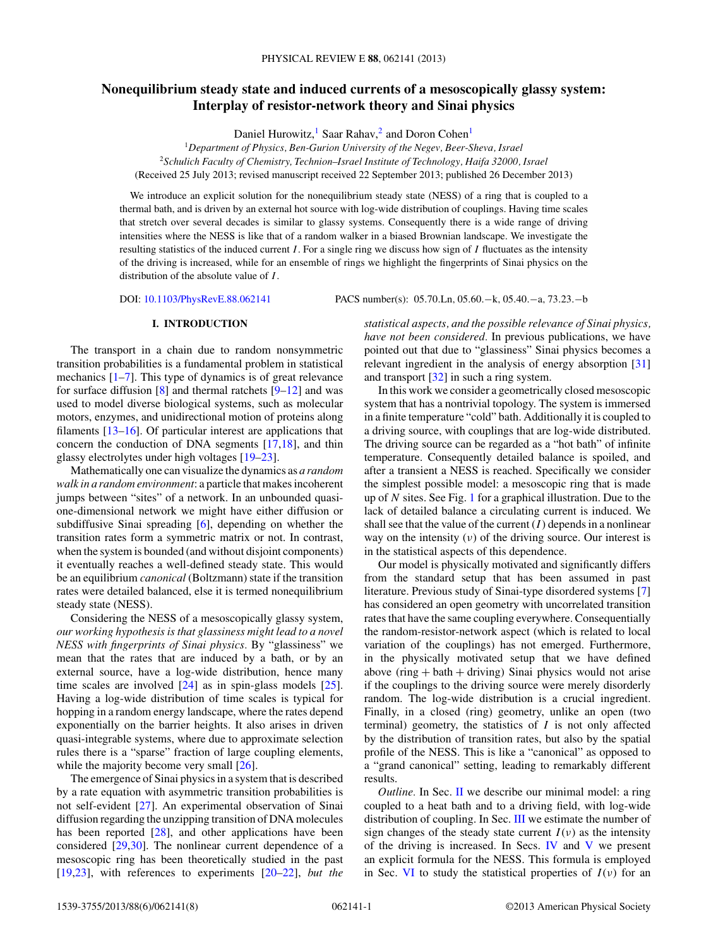# **Nonequilibrium steady state and induced currents of a mesoscopically glassy system: Interplay of resistor-network theory and Sinai physics**

Daniel Hurowitz,<sup>1</sup> Saar Rahav,<sup>2</sup> and Doron Cohen<sup>1</sup>

<sup>1</sup>*Department of Physics, Ben-Gurion University of the Negev, Beer-Sheva, Israel* <sup>2</sup>*Schulich Faculty of Chemistry, Technion–Israel Institute of Technology, Haifa 32000, Israel* (Received 25 July 2013; revised manuscript received 22 September 2013; published 26 December 2013)

We introduce an explicit solution for the nonequilibrium steady state (NESS) of a ring that is coupled to a thermal bath, and is driven by an external hot source with log-wide distribution of couplings. Having time scales that stretch over several decades is similar to glassy systems. Consequently there is a wide range of driving intensities where the NESS is like that of a random walker in a biased Brownian landscape. We investigate the resulting statistics of the induced current *I* . For a single ring we discuss how sign of *I* fluctuates as the intensity of the driving is increased, while for an ensemble of rings we highlight the fingerprints of Sinai physics on the distribution of the absolute value of *I* .

DOI: [10.1103/PhysRevE.88.062141](http://dx.doi.org/10.1103/PhysRevE.88.062141) PACS number(s): 05*.*70*.*Ln*,* 05*.*60*.*−k*,* 05*.*40*.*−a*,* 73*.*23*.*−b

# **I. INTRODUCTION**

The transport in a chain due to random nonsymmetric transition probabilities is a fundamental problem in statistical mechanics [\[1–7\]](#page-7-0). This type of dynamics is of great relevance for surface diffusion  $\lceil 8 \rceil$  and thermal ratchets  $\lceil 9-12 \rceil$  and was used to model diverse biological systems, such as molecular motors, enzymes, and unidirectional motion of proteins along filaments [\[13–16\]](#page-7-0). Of particular interest are applications that concern the conduction of DNA segments [\[17,18\]](#page-7-0), and thin glassy electrolytes under high voltages [\[19–23\]](#page-7-0).

Mathematically one can visualize the dynamics as *a random walk in a random environment*: a particle that makes incoherent jumps between "sites" of a network. In an unbounded quasione-dimensional network we might have either diffusion or subdiffusive Sinai spreading [\[6\]](#page-7-0), depending on whether the transition rates form a symmetric matrix or not. In contrast, when the system is bounded (and without disjoint components) it eventually reaches a well-defined steady state. This would be an equilibrium *canonical* (Boltzmann) state if the transition rates were detailed balanced, else it is termed nonequilibrium steady state (NESS).

Considering the NESS of a mesoscopically glassy system, *our working hypothesis is that glassiness might lead to a novel NESS with fingerprints of Sinai physics.* By "glassiness" we mean that the rates that are induced by a bath, or by an external source, have a log-wide distribution, hence many time scales are involved [\[24\]](#page-7-0) as in spin-glass models [\[25\]](#page-7-0). Having a log-wide distribution of time scales is typical for hopping in a random energy landscape, where the rates depend exponentially on the barrier heights. It also arises in driven quasi-integrable systems, where due to approximate selection rules there is a "sparse" fraction of large coupling elements, while the majority become very small [\[26\]](#page-7-0).

The emergence of Sinai physics in a system that is described by a rate equation with asymmetric transition probabilities is not self-evident [\[27\]](#page-7-0). An experimental observation of Sinai diffusion regarding the unzipping transition of DNA molecules has been reported  $[28]$ , and other applications have been considered [\[29,30\]](#page-7-0). The nonlinear current dependence of a mesoscopic ring has been theoretically studied in the past [\[19,23\]](#page-7-0), with references to experiments [\[20–22\]](#page-7-0), *but the*

*statistical aspects, and the possible relevance of Sinai physics, have not been considered.* In previous publications, we have pointed out that due to "glassiness" Sinai physics becomes a relevant ingredient in the analysis of energy absorption [\[31\]](#page-7-0) and transport [\[32\]](#page-7-0) in such a ring system.

In this work we consider a geometrically closed mesoscopic system that has a nontrivial topology. The system is immersed in a finite temperature "cold" bath. Additionally it is coupled to a driving source, with couplings that are log-wide distributed. The driving source can be regarded as a "hot bath" of infinite temperature. Consequently detailed balance is spoiled, and after a transient a NESS is reached. Specifically we consider the simplest possible model: a mesoscopic ring that is made up of *N* sites. See Fig. [1](#page-1-0) for a graphical illustration. Due to the lack of detailed balance a circulating current is induced. We shall see that the value of the current  $(I)$  depends in a nonlinear way on the intensity (*ν*) of the driving source. Our interest is in the statistical aspects of this dependence.

Our model is physically motivated and significantly differs from the standard setup that has been assumed in past literature. Previous study of Sinai-type disordered systems [\[7\]](#page-7-0) has considered an open geometry with uncorrelated transition rates that have the same coupling everywhere. Consequentially the random-resistor-network aspect (which is related to local variation of the couplings) has not emerged. Furthermore, in the physically motivated setup that we have defined above (ring  $+$  bath  $+$  driving) Sinai physics would not arise if the couplings to the driving source were merely disorderly random. The log-wide distribution is a crucial ingredient. Finally, in a closed (ring) geometry, unlike an open (two terminal) geometry, the statistics of *I* is not only affected by the distribution of transition rates, but also by the spatial profile of the NESS. This is like a "canonical" as opposed to a "grand canonical" setting, leading to remarkably different results.

*Outline*. In Sec. **[II](#page-1-0)** we describe our minimal model: a ring coupled to a heat bath and to a driving field, with log-wide distribution of coupling. In Sec. [III](#page-1-0) we estimate the number of sign changes of the steady state current  $I(v)$  as the intensity of the driving is increased. In Secs. [IV](#page-1-0) and [V](#page-2-0) we present an explicit formula for the NESS. This formula is employed in Sec. [VI](#page-3-0) to study the statistical properties of  $I(v)$  for an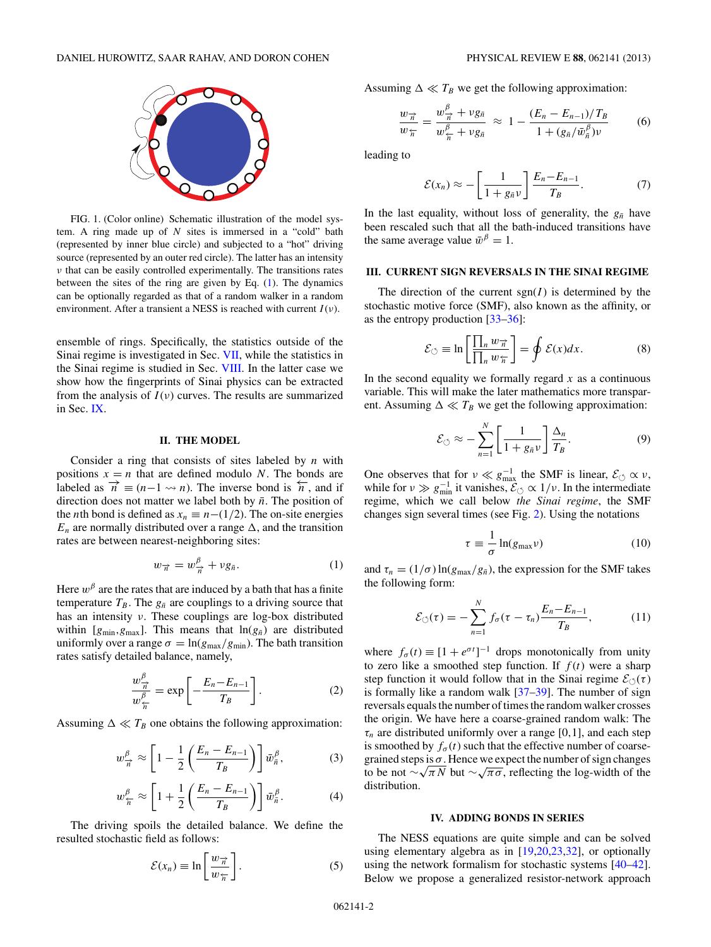<span id="page-1-0"></span>

FIG. 1. (Color online) Schematic illustration of the model system. A ring made up of *N* sites is immersed in a "cold" bath (represented by inner blue circle) and subjected to a "hot" driving source (represented by an outer red circle). The latter has an intensity *ν* that can be easily controlled experimentally. The transitions rates between the sites of the ring are given by Eq. (1). The dynamics can be optionally regarded as that of a random walker in a random environment. After a transient a NESS is reached with current *I* (*ν*).

ensemble of rings. Specifically, the statistics outside of the Sinai regime is investigated in Sec. [VII,](#page-3-0) while the statistics in the Sinai regime is studied in Sec. [VIII.](#page-4-0) In the latter case we show how the fingerprints of Sinai physics can be extracted from the analysis of  $I(v)$  curves. The results are summarized in Sec. [IX.](#page-5-0)

# **II. THE MODEL**

Consider a ring that consists of sites labeled by *n* with positions  $x = n$  that are defined modulo *N*. The bonds are labeled as  $\vec{n} = (n-1 \rightsquigarrow n)$ . The inverse bond is  $\hat{n}$ , and if direction does not matter we label both by  $\bar{n}$ . The position of the *n*th bond is defined as  $x_n \equiv n - (1/2)$ . The on-site energies  $E_n$  are normally distributed over a range  $\Delta$ , and the transition rates are between nearest-neighboring sites:

$$
w_{\overrightarrow{n}} = w_{\overrightarrow{n}}^{\beta} + v g_{\overrightarrow{n}}.
$$
 (1)

Here  $w^{\beta}$  are the rates that are induced by a bath that has a finite temperature  $T_B$ . The  $g_{\bar{n}}$  are couplings to a driving source that has an intensity *ν*. These couplings are log-box distributed within  $[g_{\min}, g_{\max}]$ . This means that  $\ln(g_{\bar{n}})$  are distributed uniformly over a range  $\sigma = \ln(g_{\text{max}}/g_{\text{min}})$ . The bath transition rates satisfy detailed balance, namely,

$$
\frac{w_{\overrightarrow{n}}^{\beta}}{w_{\overleftarrow{n}}^{\beta}} = \exp\left[-\frac{E_n - E_{n-1}}{T_B}\right].
$$
\n(2)

Assuming  $\Delta \ll T_B$  one obtains the following approximation:

$$
w_{\overrightarrow{n}}^{\beta} \approx \left[1 - \frac{1}{2} \left(\frac{E_n - E_{n-1}}{T_B}\right)\right] \bar{w}_n^{\beta},\tag{3}
$$

$$
w_{\overleftarrow{n}}^{\beta} \approx \left[1 + \frac{1}{2} \left(\frac{E_n - E_{n-1}}{T_B}\right)\right] \overline{w}_{\overline{n}}^{\beta}.
$$
 (4)

The driving spoils the detailed balance. We define the resulted stochastic field as follows:

$$
\mathcal{E}(x_n) \equiv \ln\left[\frac{w_{\overrightarrow{n}}}{w_{\overleftarrow{n}}}\right].\tag{5}
$$

Assuming  $\Delta \ll T_B$  we get the following approximation:

$$
\frac{w_{\overrightarrow{n}}}{w_{\overleftarrow{n}}} = \frac{w_{\overrightarrow{n}}^{\beta} + \nu g_{\overrightarrow{n}}}{w_{\overleftarrow{n}}^{\beta} + \nu g_{\overrightarrow{n}}} \approx 1 - \frac{(E_n - E_{n-1})/T_B}{1 + (g_{\overrightarrow{n}}/\bar{w}_{\overrightarrow{n}}^{\beta})\nu}
$$
(6)

leading to

$$
\mathcal{E}(x_n) \approx -\left[\frac{1}{1+g_{\bar{n}}\nu}\right] \frac{E_n - E_{n-1}}{T_B}.\tag{7}
$$

In the last equality, without loss of generality, the  $g_{\bar{n}}$  have been rescaled such that all the bath-induced transitions have the same average value  $\bar{w}^{\beta} = 1$ .

# **III. CURRENT SIGN REVERSALS IN THE SINAI REGIME**

The direction of the current  $sgn(I)$  is determined by the stochastic motive force (SMF), also known as the affinity, or as the entropy production [\[33–36\]](#page-7-0):

$$
\mathcal{E}_{\circlearrowleft} \equiv \ln \left[ \frac{\prod_{n} w_{\overrightarrow{n}}}{\prod_{n} w_{\overrightarrow{n}}} \right] = \oint \mathcal{E}(x) dx. \tag{8}
$$

In the second equality we formally regard  $x$  as a continuous variable. This will make the later mathematics more transparent. Assuming  $\Delta \ll T_B$  we get the following approximation:

$$
\mathcal{E}_{\circlearrowleft} \approx -\sum_{n=1}^{N} \left[ \frac{1}{1 + g_{\bar{n}} \nu} \right] \frac{\Delta_n}{T_B}.
$$
\n(9)

One observes that for  $v \ll g_{\text{max}}^{-1}$  the SMF is linear,  $\mathcal{E}_{\circlearrowleft} \propto v$ , while for  $\nu \gg g_{\text{min}}^{-1}$  it vanishes,  $\mathcal{E}_{\circlearrowleft} \propto 1/\nu$ . In the intermediate regime, which we call below *the Sinai regime*, the SMF changes sign several times (see Fig. [2\)](#page-2-0). Using the notations

$$
\tau \equiv \frac{1}{\sigma} \ln(g_{\text{max}} \nu) \tag{10}
$$

and  $\tau_n = (1/\sigma) \ln(g_{\text{max}}/g_{\bar{n}})$ , the expression for the SMF takes the following form:

$$
\mathcal{E}_{\circlearrowleft}(\tau) = -\sum_{n=1}^{N} f_{\sigma}(\tau - \tau_n) \frac{E_n - E_{n-1}}{T_B},\tag{11}
$$

where  $f_{\sigma}(t) \equiv [1 + e^{\sigma t}]^{-1}$  drops monotonically from unity to zero like a smoothed step function. If  $f(t)$  were a sharp step function it would follow that in the Sinai regime  $\mathcal{E}_{\circlearrowleft}(\tau)$ is formally like a random walk [\[37–39\]](#page-7-0). The number of sign reversals equals the number of times the random walker crosses the origin. We have here a coarse-grained random walk: The  $\tau_n$  are distributed uniformly over a range [0,1], and each step is smoothed by  $f_{\sigma}(t)$  such that the effective number of coarsegrained steps is *σ*. Hence we expect the number of sign changes grained steps is  $\sigma$ . Hence we expect the number of sign changes<br>to be not  $\sim \sqrt{\pi N}$  but  $\sim \sqrt{\pi \sigma}$ , reflecting the log-width of the distribution.

#### **IV. ADDING BONDS IN SERIES**

The NESS equations are quite simple and can be solved using elementary algebra as in [\[19,20,23,32\]](#page-7-0), or optionally using the network formalism for stochastic systems [\[40–42\]](#page-7-0). Below we propose a generalized resistor-network approach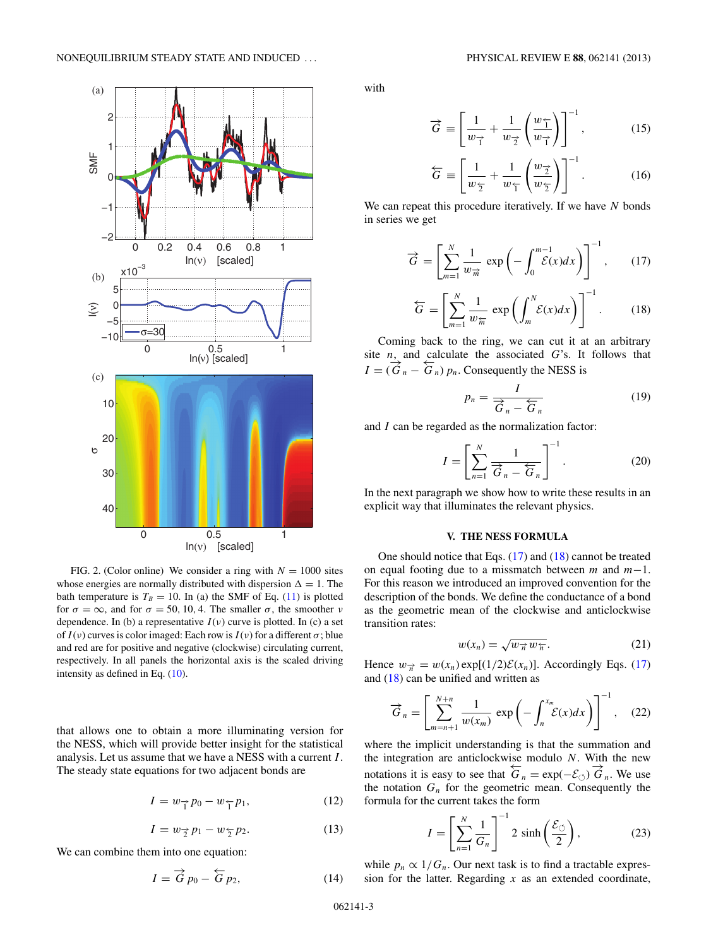<span id="page-2-0"></span>

FIG. 2. (Color online) We consider a ring with  $N = 1000$  sites whose energies are normally distributed with dispersion  $\Delta = 1$ . The bath temperature is  $T_B = 10$ . In (a) the SMF of Eq. [\(11\)](#page-1-0) is plotted for  $\sigma = \infty$ , and for  $\sigma = 50$ , 10, 4. The smaller  $\sigma$ , the smoother *ν* dependence. In (b) a representative  $I(\nu)$  curve is plotted. In (c) a set of  $I(v)$  curves is color imaged: Each row is  $I(v)$  for a different  $\sigma$ ; blue and red are for positive and negative (clockwise) circulating current, respectively. In all panels the horizontal axis is the scaled driving intensity as defined in Eq. [\(10\)](#page-1-0).

that allows one to obtain a more illuminating version for the NESS, which will provide better insight for the statistical analysis. Let us assume that we have a NESS with a current *I* . The steady state equations for two adjacent bonds are

$$
I = w_{\overrightarrow{1}} p_0 - w_{\overleftarrow{1}} p_1,\tag{12}
$$

$$
I = w_{\overrightarrow{2}} p_1 - w_{\overleftarrow{2}} p_2. \tag{13}
$$

We can combine them into one equation:

$$
I = \overrightarrow{G} p_0 - \overleftarrow{G} p_2, \qquad (14)
$$

with

$$
\vec{G} \equiv \left[ \frac{1}{w_{\overrightarrow{1}}} + \frac{1}{w_{\overrightarrow{2}}} \left( \frac{w_{\overrightarrow{1}}}{w_{\overrightarrow{1}}} \right) \right]^{-1}, \quad (15)
$$

$$
\overleftarrow{G} \equiv \left[ \frac{1}{w_{\overleftarrow{2}}} + \frac{1}{w_{\overleftarrow{1}}} \left( \frac{w_{\overrightarrow{2}}}{w_{\overleftarrow{2}}} \right) \right]^{-1} . \tag{16}
$$

We can repeat this procedure iteratively. If we have *N* bonds in series we get

$$
\overrightarrow{G} = \left[\sum_{m=1}^{N} \frac{1}{w_{\overrightarrow{m}}} \exp\left(-\int_{0}^{m-1} \mathcal{E}(x) dx\right)\right]^{-1}, \qquad (17)
$$

$$
\overleftarrow{G} = \left[\sum_{m=1}^{N} \frac{1}{w_{\overleftarrow{m}}} \exp\left(\int_{m}^{N} \mathcal{E}(x) dx\right)\right]^{-1}.
$$
 (18)

Coming back to the ring, we can cut it at an arbitrary site  $n$ , and calculate the associated  $G$ 's. It follows that  $I = (\overrightarrow{G}_n - \overleftarrow{G}_n) p_n$ . Consequently the NESS is

$$
p_n = \frac{I}{\overrightarrow{G}_n - \overleftarrow{G}_n} \tag{19}
$$

and *I* can be regarded as the normalization factor:

$$
I = \left[\sum_{n=1}^{N} \frac{1}{\overrightarrow{G}_n - \overleftarrow{G}_n}\right]^{-1}.
$$
 (20)

In the next paragraph we show how to write these results in an explicit way that illuminates the relevant physics.

### **V. THE NESS FORMULA**

One should notice that Eqs. (17) and (18) cannot be treated on equal footing due to a missmatch between *m* and *m*−1. For this reason we introduced an improved convention for the description of the bonds. We define the conductance of a bond as the geometric mean of the clockwise and anticlockwise transition rates:

$$
w(x_n) = \sqrt{w_{\overrightarrow{n}} w_{\overleftarrow{n}}}.
$$
 (21)

Hence  $w_{\overrightarrow{n}} = w(x_n) \exp[(1/2)\mathcal{E}(x_n)]$ . Accordingly Eqs. (17) and  $(18)$  can be unified and written as

$$
\overrightarrow{G}_n = \left[ \sum_{m=n+1}^{N+n} \frac{1}{w(x_m)} \exp\left(-\int_n^{x_m} \mathcal{E}(x) dx\right) \right]^{-1}, \quad (22)
$$

where the implicit understanding is that the summation and the integration are anticlockwise modulo *N*. With the new notations it is easy to see that  $G_n = \exp(-\mathcal{E}_\circ) \overrightarrow{G}_n$ . We use the notation  $G_n$  for the geometric mean. Consequently the formula for the current takes the form

$$
I = \left[\sum_{n=1}^{N} \frac{1}{G_n}\right]^{-1} 2 \sinh\left(\frac{\mathcal{E}_{\circlearrowleft}}{2}\right),\tag{23}
$$

while  $p_n \propto 1/G_n$ . Our next task is to find a tractable expression for the latter. Regarding *x* as an extended coordinate,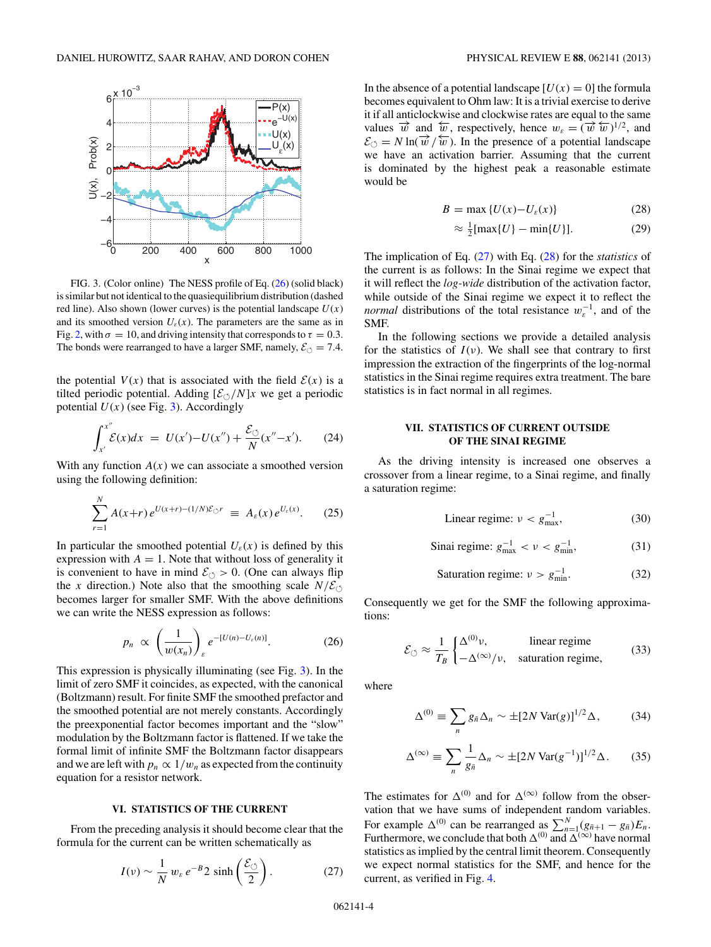<span id="page-3-0"></span>

FIG. 3. (Color online) The NESS profile of Eq. (26) (solid black) is similar but not identical to the quasiequilibrium distribution (dashed red line). Also shown (lower curves) is the potential landscape  $U(x)$ and its smoothed version  $U_{\varepsilon}(x)$ . The parameters are the same as in Fig. [2,](#page-2-0) with  $\sigma = 10$ , and driving intensity that corresponds to  $\tau = 0.3$ . The bonds were rearranged to have a larger SMF, namely,  $\mathcal{E}_{\circlearrowleft} = 7.4$ .

the potential  $V(x)$  that is associated with the field  $\mathcal{E}(x)$  is a tilted periodic potential. Adding  $[\mathcal{E}(\gamma)/N]x$  we get a periodic potential  $U(x)$  (see Fig. 3). Accordingly

$$
\int_{x'}^{x''} \mathcal{E}(x) dx = U(x') - U(x'') + \frac{\mathcal{E}_{\circlearrowleft}}{N}(x'' - x'). \tag{24}
$$

With any function  $A(x)$  we can associate a smoothed version using the following definition:

$$
\sum_{r=1}^{N} A(x+r) e^{U(x+r)-(1/N)\mathcal{E}_{\bigcirc}r} \equiv A_{\varepsilon}(x) e^{U_{\varepsilon}(x)}.
$$
 (25)

In particular the smoothed potential  $U_{\varepsilon}(x)$  is defined by this expression with  $A = 1$ . Note that without loss of generality it is convenient to have in mind  $\mathcal{E}_{\circlearrowleft} > 0$ . (One can always flip the *x* direction.) Note also that the smoothing scale  $N/\mathcal{E}_{\circlearrowleft}$ becomes larger for smaller SMF. With the above definitions we can write the NESS expression as follows:

$$
p_n \propto \left(\frac{1}{w(x_n)}\right)_{\varepsilon} e^{-[U(n)-U_{\varepsilon}(n)]}.\tag{26}
$$

This expression is physically illuminating (see Fig. 3). In the limit of zero SMF it coincides, as expected, with the canonical (Boltzmann) result. For finite SMF the smoothed prefactor and the smoothed potential are not merely constants. Accordingly the preexponential factor becomes important and the "slow" modulation by the Boltzmann factor is flattened. If we take the formal limit of infinite SMF the Boltzmann factor disappears and we are left with  $p_n \propto 1/w_n$  as expected from the continuity equation for a resistor network.

# **VI. STATISTICS OF THE CURRENT**

From the preceding analysis it should become clear that the formula for the current can be written schematically as

$$
I(\nu) \sim \frac{1}{N} w_{\varepsilon} e^{-B} 2 \sinh\left(\frac{\mathcal{E}_{\circlearrowleft}}{2}\right). \tag{27}
$$

In the absence of a potential landscape  $[U(x) = 0]$  the formula becomes equivalent to Ohm law: It is a trivial exercise to derive it if all anticlockwise and clockwise rates are equal to the same values  $\vec{w}$  and  $\vec{w}$ , respectively, hence  $w_{\varepsilon} = (\vec{w} \ \hat{w})^{1/2}$ , and  $\mathcal{E}_{\circlearrowleft} = N \ln(\vec{w}/\vec{w})$ . In the presence of a potential landscape we have an activation barrier. Assuming that the current is dominated by the highest peak a reasonable estimate would be

$$
B = \max\{U(x) - U_{\varepsilon}(x)\}\tag{28}
$$

$$
\approx \frac{1}{2} [\max\{U\} - \min\{U\}]. \tag{29}
$$

The implication of Eq. (27) with Eq. (28) for the *statistics* of the current is as follows: In the Sinai regime we expect that it will reflect the *log-wide* distribution of the activation factor, while outside of the Sinai regime we expect it to reflect the *normal* distributions of the total resistance  $w_{\varepsilon}^{-1}$ , and of the SMF.

In the following sections we provide a detailed analysis for the statistics of  $I(\nu)$ . We shall see that contrary to first impression the extraction of the fingerprints of the log-normal statistics in the Sinai regime requires extra treatment. The bare statistics is in fact normal in all regimes.

# **VII. STATISTICS OF CURRENT OUTSIDE OF THE SINAI REGIME**

As the driving intensity is increased one observes a crossover from a linear regime, to a Sinai regime, and finally a saturation regime:

$$
Linear regime: \nu < g_{\text{max}}^{-1}, \tag{30}
$$

$$
\text{Sinai regime: } g_{\text{max}}^{-1} < \nu < g_{\text{min}}^{-1},\tag{31}
$$

Saturation regime: 
$$
\nu > g_{\text{min}}^{-1}
$$
. (32)

Consequently we get for the SMF the following approximations:

$$
\mathcal{E}_{\circlearrowleft} \approx \frac{1}{T_B} \begin{cases} \Delta^{(0)} v, & \text{linear regime} \\ -\Delta^{(\infty)}/v, & \text{saturation regime,} \end{cases}
$$
\n(33)

where

$$
\Delta^{(0)} \equiv \sum_{n} g_{\bar{n}} \Delta_n \sim \pm [2N \operatorname{Var}(g)]^{1/2} \Delta, \tag{34}
$$

$$
\Delta^{(\infty)} \equiv \sum_{n} \frac{1}{g_{\bar{n}}} \Delta_n \sim \pm [2N \operatorname{Var}(g^{-1})]^{1/2} \Delta. \tag{35}
$$

The estimates for  $\Delta^{(0)}$  and for  $\Delta^{(\infty)}$  follow from the observation that we have sums of independent random variables. For example  $\Delta^{(0)}$  can be rearranged as  $\sum_{n=1}^{N} (g_{\bar{n}+1} - g_{\bar{n}})E_n$ . Furthermore, we conclude that both  $\Delta^{(0)}$  and  $\Delta^{(\infty)}$  have normal statistics as implied by the central limit theorem. Consequently we expect normal statistics for the SMF, and hence for the current, as verified in Fig. [4.](#page-4-0)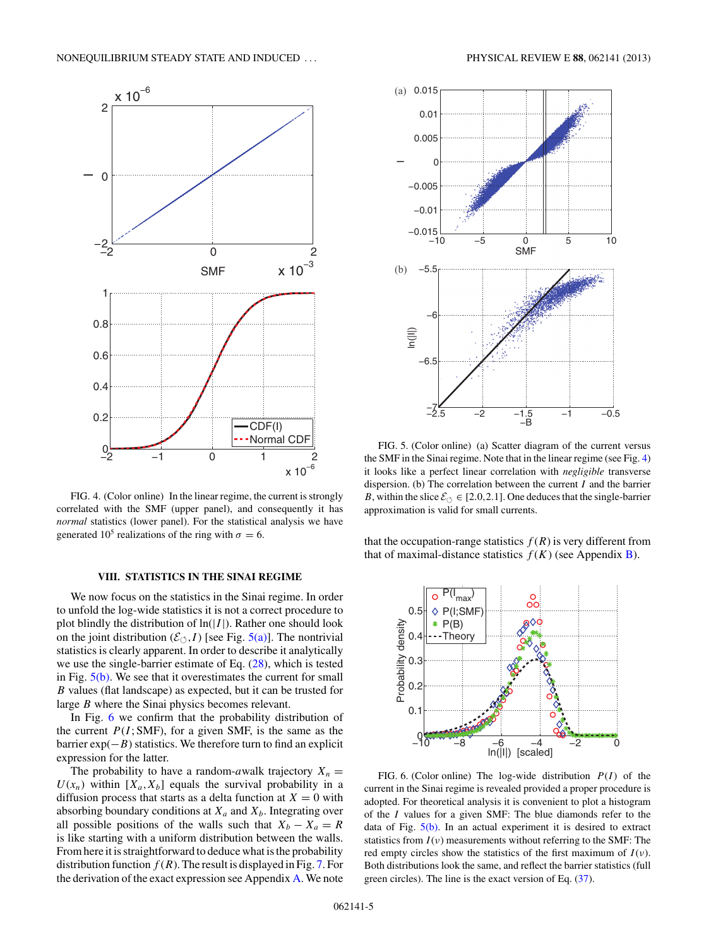<span id="page-4-0"></span>

FIG. 4. (Color online) In the linear regime, the current is strongly correlated with the SMF (upper panel), and consequently it has *normal* statistics (lower panel). For the statistical analysis we have generated 10<sup>5</sup> realizations of the ring with  $\sigma = 6$ .

#### **VIII. STATISTICS IN THE SINAI REGIME**

We now focus on the statistics in the Sinai regime. In order to unfold the log-wide statistics it is not a correct procedure to plot blindly the distribution of  $ln(|I|)$ . Rather one should look on the joint distribution  $(\mathcal{E}_{\circlearrowleft}, I)$  [see Fig. 5(a)]. The nontrivial statistics is clearly apparent. In order to describe it analytically we use the single-barrier estimate of Eq. [\(28\)](#page-3-0), which is tested in Fig.  $5(b)$ . We see that it overestimates the current for small *B* values (flat landscape) as expected, but it can be trusted for large *B* where the Sinai physics becomes relevant.

In Fig. 6 we confirm that the probability distribution of the current  $P(I; SMF)$ , for a given SMF, is the same as the barrier  $exp(-B)$  statistics. We therefore turn to find an explicit expression for the latter.

The probability to have a random-*a*walk trajectory  $X_n =$  $U(x_n)$  within  $[X_a, X_b]$  equals the survival probability in a diffusion process that starts as a delta function at  $X = 0$  with absorbing boundary conditions at  $X_a$  and  $X_b$ . Integrating over all possible positions of the walls such that  $X_b - X_a = R$ is like starting with a uniform distribution between the walls. From here it is straightforward to deduce what is the probability distribution function  $f(R)$ . The result is displayed in Fig. [7.](#page-5-0) For the derivation of the exact expression see Appendix [A.](#page-5-0) We note



FIG. 5. (Color online) (a) Scatter diagram of the current versus the SMF in the Sinai regime. Note that in the linear regime (see Fig. 4) it looks like a perfect linear correlation with *negligible* transverse dispersion. (b) The correlation between the current *I* and the barrier *B*, within the slice  $\mathcal{E}_{\circlearrowleft} \in [2.0, 2.1]$ . One deduces that the single-barrier approximation is valid for small currents.

that the occupation-range statistics  $f(R)$  is very different from that of maximal-distance statistics  $f(K)$  (see Appendix [B\)](#page-6-0).



FIG. 6. (Color online) The log-wide distribution  $P(I)$  of the current in the Sinai regime is revealed provided a proper procedure is adopted. For theoretical analysis it is convenient to plot a histogram of the *I* values for a given SMF: The blue diamonds refer to the data of Fig.  $5(b)$ . In an actual experiment it is desired to extract statistics from  $I(v)$  measurements without referring to the SMF: The red empty circles show the statistics of the first maximum of  $I(\nu)$ . Both distributions look the same, and reflect the barrier statistics (full green circles). The line is the exact version of Eq. [\(37\)](#page-5-0).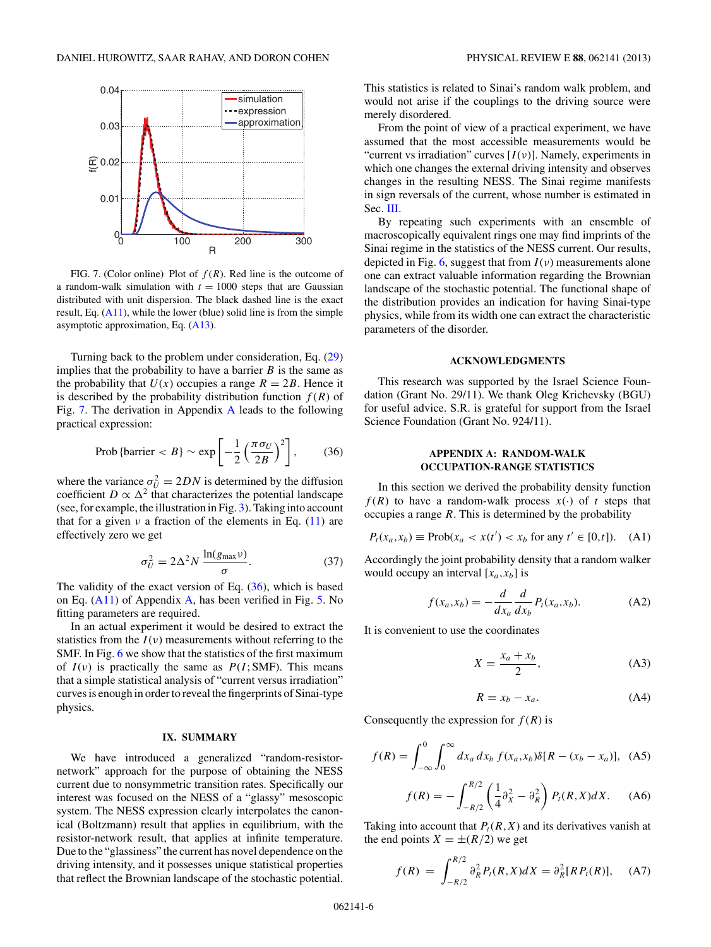<span id="page-5-0"></span>

FIG. 7. (Color online) Plot of *f* (*R*). Red line is the outcome of a random-walk simulation with  $t = 1000$  steps that are Gaussian distributed with unit dispersion. The black dashed line is the exact result, Eq. [\(A11\)](#page-6-0), while the lower (blue) solid line is from the simple asymptotic approximation, Eq. [\(A13\)](#page-6-0).

Turning back to the problem under consideration, Eq. [\(29\)](#page-3-0) implies that the probability to have a barrier  $B$  is the same as the probability that  $U(x)$  occupies a range  $R = 2B$ . Hence it is described by the probability distribution function  $f(R)$  of Fig. 7. The derivation in Appendix A leads to the following practical expression:

$$
\text{Prob}\left\{\text{barrier} < B\right\} \sim \exp\left[-\frac{1}{2}\left(\frac{\pi\sigma_U}{2B}\right)^2\right],\tag{36}
$$

where the variance  $\sigma_U^2 = 2DN$  is determined by the diffusion coefficient  $D \propto \Delta^2$  that characterizes the potential landscape (see, for example, the illustration in Fig. [3\)](#page-3-0). Taking into account that for a given  $\nu$  a fraction of the elements in Eq. [\(11\)](#page-1-0) are effectively zero we get

$$
\sigma_U^2 = 2\Delta^2 N \frac{\ln(g_{\text{max}}\nu)}{\sigma}.
$$
 (37)

The validity of the exact version of Eq.  $(36)$ , which is based on Eq. [\(A11\)](#page-6-0) of Appendix A, has been verified in Fig. [5.](#page-4-0) No fitting parameters are required.

In an actual experiment it would be desired to extract the statistics from the  $I(v)$  measurements without referring to the SMF. In Fig. [6](#page-4-0) we show that the statistics of the first maximum of  $I(v)$  is practically the same as  $P(I; SMF)$ . This means that a simple statistical analysis of "current versus irradiation" curves is enough in order to reveal the fingerprints of Sinai-type physics.

# **IX. SUMMARY**

We have introduced a generalized "random-resistornetwork" approach for the purpose of obtaining the NESS current due to nonsymmetric transition rates. Specifically our interest was focused on the NESS of a "glassy" mesoscopic system. The NESS expression clearly interpolates the canonical (Boltzmann) result that applies in equilibrium, with the resistor-network result, that applies at infinite temperature. Due to the "glassiness" the current has novel dependence on the driving intensity, and it possesses unique statistical properties that reflect the Brownian landscape of the stochastic potential.

This statistics is related to Sinai's random walk problem, and would not arise if the couplings to the driving source were merely disordered.

From the point of view of a practical experiment, we have assumed that the most accessible measurements would be "current vs irradiation" curves  $[I(v)]$ . Namely, experiments in which one changes the external driving intensity and observes changes in the resulting NESS. The Sinai regime manifests in sign reversals of the current, whose number is estimated in Sec. [III.](#page-1-0)

By repeating such experiments with an ensemble of macroscopically equivalent rings one may find imprints of the Sinai regime in the statistics of the NESS current. Our results, depicted in Fig. [6,](#page-4-0) suggest that from *I* (*ν*) measurements alone one can extract valuable information regarding the Brownian landscape of the stochastic potential. The functional shape of the distribution provides an indication for having Sinai-type physics, while from its width one can extract the characteristic parameters of the disorder.

# **ACKNOWLEDGMENTS**

This research was supported by the Israel Science Foundation (Grant No. 29/11). We thank Oleg Krichevsky (BGU) for useful advice. S.R. is grateful for support from the Israel Science Foundation (Grant No. 924/11).

# **APPENDIX A: RANDOM-WALK OCCUPATION-RANGE STATISTICS**

In this section we derived the probability density function  $f(R)$  to have a random-walk process  $x(\cdot)$  of *t* steps that occupies a range *R*. This is determined by the probability

$$
P_t(x_a, x_b) \equiv \text{Prob}(x_a < x(t') < x_b \text{ for any } t' \in [0, t]). \tag{A1}
$$

Accordingly the joint probability density that a random walker would occupy an interval  $[x_a, x_b]$  is

$$
f(x_a, x_b) = -\frac{d}{dx_a} \frac{d}{dx_b} P_t(x_a, x_b). \tag{A2}
$$

It is convenient to use the coordinates

$$
X = \frac{x_a + x_b}{2},\tag{A3}
$$

$$
R = x_b - x_a. \tag{A4}
$$

Consequently the expression for  $f(R)$  is

$$
f(R) = \int_{-\infty}^{0} \int_{0}^{\infty} dx_a dx_b f(x_a, x_b) \delta[R - (x_b - x_a)], \quad (A5)
$$

$$
f(R) = -\int_{-R/2}^{R/2} \left(\frac{1}{4}\partial_X^2 - \partial_R^2\right) P_t(R, X)dX.
$$
 (A6)

Taking into account that  $P_t(R, X)$  and its derivatives vanish at the end points  $X = \pm (R/2)$  we get

$$
f(R) = \int_{-R/2}^{R/2} \partial_R^2 P_t(R, X) dX = \partial_R^2 [R P_t(R)], \quad (A7)
$$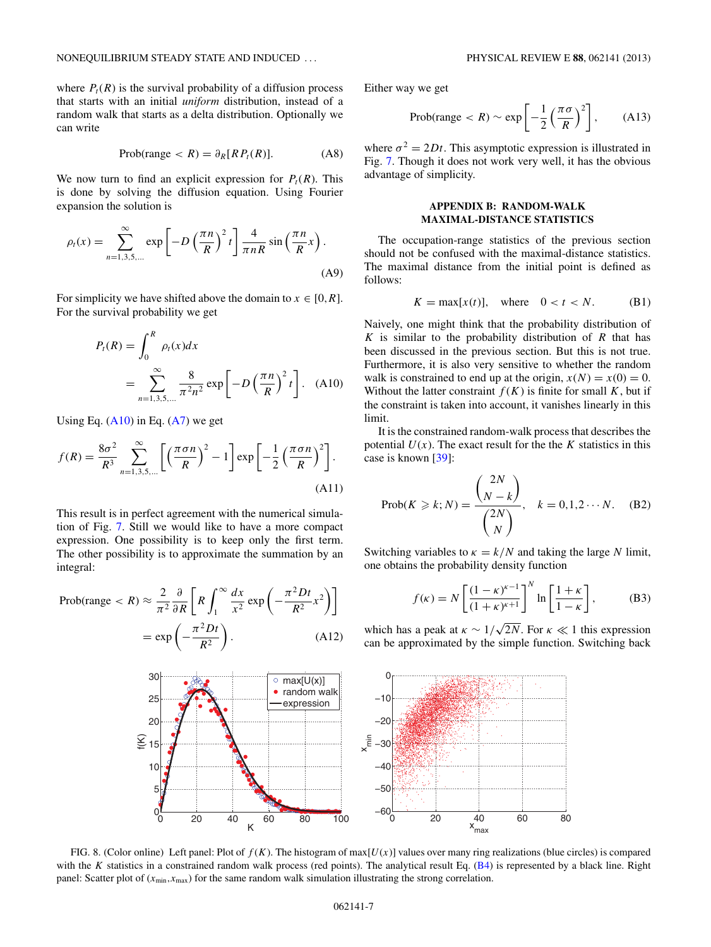<span id="page-6-0"></span>where  $P_t(R)$  is the survival probability of a diffusion process that starts with an initial *uniform* distribution, instead of a random walk that starts as a delta distribution. Optionally we can write

$$
Prob(range < R) = \partial_R[R P_t(R)]. \tag{A8}
$$

We now turn to find an explicit expression for  $P_t(R)$ . This is done by solving the diffusion equation. Using Fourier expansion the solution is

$$
\rho_t(x) = \sum_{n=1,3,5,\dots}^{\infty} \exp\left[-D\left(\frac{\pi n}{R}\right)^2 t\right] \frac{4}{\pi n R} \sin\left(\frac{\pi n}{R} x\right). \tag{A9}
$$

For simplicity we have shifted above the domain to  $x \in [0, R]$ . For the survival probability we get

$$
P_t(R) = \int_0^R \rho_t(x) dx
$$
  
= 
$$
\sum_{n=1,3,5,\dots}^{\infty} \frac{8}{\pi^2 n^2} \exp\left[-D\left(\frac{\pi n}{R}\right)^2 t\right].
$$
 (A10)

Using Eq.  $(A10)$  in Eq.  $(A7)$  we get

$$
f(R) = \frac{8\sigma^2}{R^3} \sum_{n=1,3,5,\dots}^{\infty} \left[ \left( \frac{\pi \sigma n}{R} \right)^2 - 1 \right] \exp\left[ -\frac{1}{2} \left( \frac{\pi \sigma n}{R} \right)^2 \right].
$$
\n(A11)

This result is in perfect agreement with the numerical simulation of Fig. [7.](#page-5-0) Still we would like to have a more compact expression. One possibility is to keep only the first term. The other possibility is to approximate the summation by an integral:

$$
\text{Prob(range} < R) \approx \frac{2}{\pi^2} \frac{\partial}{\partial R} \left[ R \int_1^\infty \frac{dx}{x^2} \exp\left( -\frac{\pi^2 Dt}{R^2} x^2 \right) \right]
$$
\n
$$
= \exp\left( -\frac{\pi^2 Dt}{R^2} \right). \tag{A12}
$$

Either way we get

$$
Prob(range < R) \sim \exp\left[-\frac{1}{2}\left(\frac{\pi\sigma}{R}\right)^2\right],\qquad(A13)
$$

where  $\sigma^2 = 2Dt$ . This asymptotic expression is illustrated in Fig. [7.](#page-5-0) Though it does not work very well, it has the obvious advantage of simplicity.

# **APPENDIX B: RANDOM-WALK MAXIMAL-DISTANCE STATISTICS**

The occupation-range statistics of the previous section should not be confused with the maximal-distance statistics. The maximal distance from the initial point is defined as follows:

$$
K = \max[x(t)], \quad \text{where} \quad 0 < t < N. \tag{B1}
$$

Naively, one might think that the probability distribution of *K* is similar to the probability distribution of *R* that has been discussed in the previous section. But this is not true. Furthermore, it is also very sensitive to whether the random walk is constrained to end up at the origin,  $x(N) = x(0) = 0$ . Without the latter constraint  $f(K)$  is finite for small K, but if the constraint is taken into account, it vanishes linearly in this limit.

It is the constrained random-walk process that describes the potential  $U(x)$ . The exact result for the the *K* statistics in this case is known [\[39\]](#page-7-0):

$$
\text{Prob}(K \ge k; N) = \frac{\binom{2N}{N-k}}{\binom{2N}{N}}, \quad k = 0, 1, 2 \cdots N. \quad (B2)
$$

Switching variables to  $\kappa = k/N$  and taking the large N limit, one obtains the probability density function

$$
f(\kappa) = N \left[ \frac{(1 - \kappa)^{\kappa - 1}}{(1 + \kappa)^{\kappa + 1}} \right]^N \ln \left[ \frac{1 + \kappa}{1 - \kappa} \right],
$$
 (B3)

which has a peak at  $\kappa \sim 1/\sqrt{2N}$ . For  $\kappa \ll 1$  this expression can be approximated by the simple function. Switching back



FIG. 8. (Color online) Left panel: Plot of  $f(K)$ . The histogram of max $[U(x)]$  values over many ring realizations (blue circles) is compared with the *K* statistics in a constrained random walk process (red points). The analytical result Eq. [\(B4\)](#page-7-0) is represented by a black line. Right panel: Scatter plot of  $(x_{min}, x_{max})$  for the same random walk simulation illustrating the strong correlation.